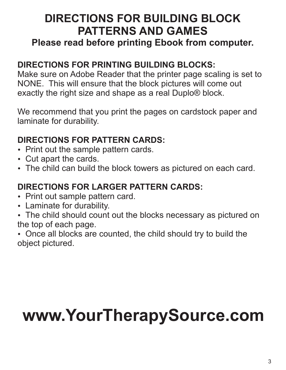### **DIRECTIONS FOR BUILDING BLOCK PATTERNS AND GAMES**

#### **Please read before printing Ebook from computer.**

#### **DIRECTIONS FOR PRINTING BUILDING BLOCKS:**

Make sure on Adobe Reader that the printer page scaling is set to NONE. This will ensure that the block pictures will come out exactly the right size and shape as a real Duplo® block.

We recommend that you print the pages on cardstock paper and laminate for durability.

#### **DIRECTIONS FOR PATTERN CARDS: DIRECTIONS FOR PATTERN CARDS:**<br>• Print out the sample pattern cards.

- Print out the sample pattern cards.<br>• Cut apart the cards.
- 
- Cut apart the cards.<br>• The child can build the block towers as pictured on each card.

## **DIRECTIONS FOR LARGER PATTERN CARDS:**<br>• Print out sample pattern card.

- Print out sample pattern card.<br>• Laminate for durability.
- 
- Laminate for durability.<br>• The child should count out the blocks necessary as pictured on the top of each page.

• Once all blocks are counted, the child should try to build the object pictured.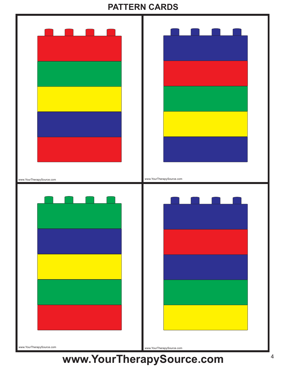#### **PATTERN CARDS**

|                           | <b>Contract Contract Contract Contract Contract Contract Contract Contract Contract Contract Contract Contract C</b> |
|---------------------------|----------------------------------------------------------------------------------------------------------------------|
| www.YourTherapySource.com | www.YourTherapySource.com                                                                                            |
|                           |                                                                                                                      |
|                           |                                                                                                                      |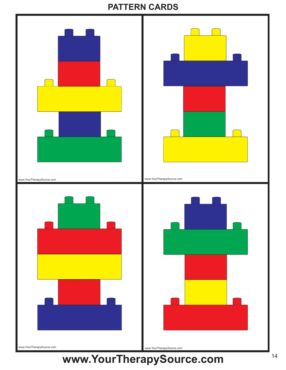#### **PATTERN CARDS**

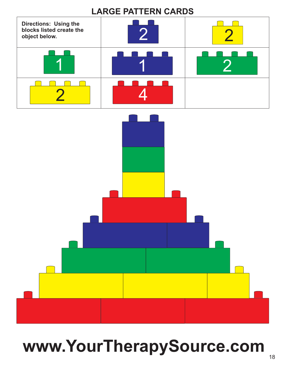#### **LARGE PATTERN CARDS**